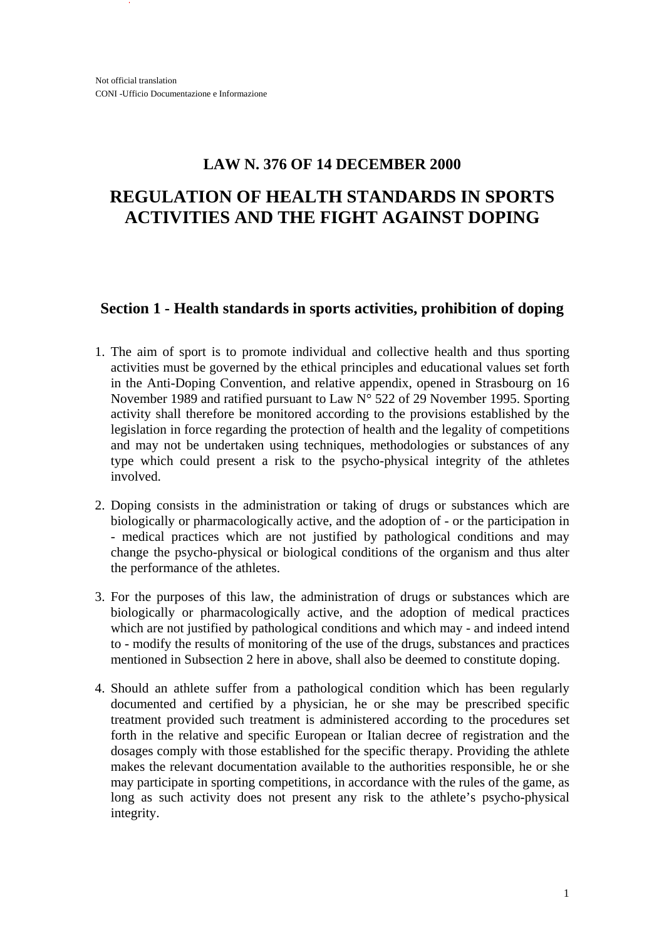## **LAW N. 376 OF 14 DECEMBER 2000**

# **REGULATION OF HEALTH STANDARDS IN SPORTS ACTIVITIES AND THE FIGHT AGAINST DOPING**

## **Section 1 - Health standards in sports activities, prohibition of doping**

- 1. The aim of sport is to promote individual and collective health and thus sporting activities must be governed by the ethical principles and educational values set forth in the Anti-Doping Convention, and relative appendix, opened in Strasbourg on 16 November 1989 and ratified pursuant to Law N° 522 of 29 November 1995. Sporting activity shall therefore be monitored according to the provisions established by the legislation in force regarding the protection of health and the legality of competitions and may not be undertaken using techniques, methodologies or substances of any type which could present a risk to the psycho-physical integrity of the athletes involved.
- 2. Doping consists in the administration or taking of drugs or substances which are biologically or pharmacologically active, and the adoption of - or the participation in - medical practices which are not justified by pathological conditions and may change the psycho-physical or biological conditions of the organism and thus alter the performance of the athletes.
- 3. For the purposes of this law, the administration of drugs or substances which are biologically or pharmacologically active, and the adoption of medical practices which are not justified by pathological conditions and which may - and indeed intend to - modify the results of monitoring of the use of the drugs, substances and practices mentioned in Subsection 2 here in above, shall also be deemed to constitute doping.
- 4. Should an athlete suffer from a pathological condition which has been regularly documented and certified by a physician, he or she may be prescribed specific treatment provided such treatment is administered according to the procedures set forth in the relative and specific European or Italian decree of registration and the dosages comply with those established for the specific therapy. Providing the athlete makes the relevant documentation available to the authorities responsible, he or she may participate in sporting competitions, in accordance with the rules of the game, as long as such activity does not present any risk to the athlete's psycho-physical integrity.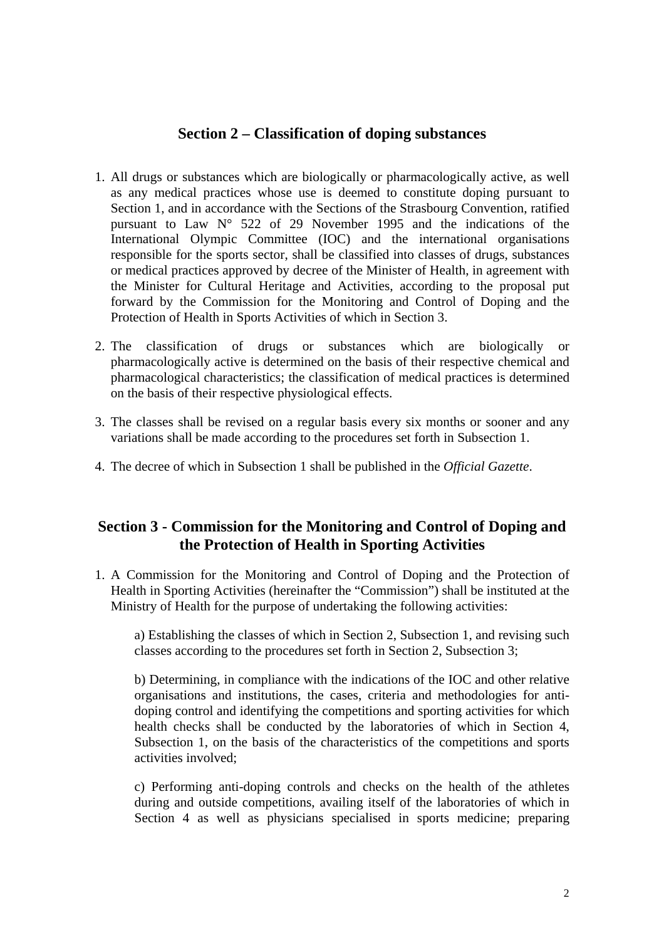## **Section 2 – Classification of doping substances**

- 1. All drugs or substances which are biologically or pharmacologically active, as well as any medical practices whose use is deemed to constitute doping pursuant to Section 1, and in accordance with the Sections of the Strasbourg Convention, ratified pursuant to Law N° 522 of 29 November 1995 and the indications of the International Olympic Committee (IOC) and the international organisations responsible for the sports sector, shall be classified into classes of drugs, substances or medical practices approved by decree of the Minister of Health, in agreement with the Minister for Cultural Heritage and Activities, according to the proposal put forward by the Commission for the Monitoring and Control of Doping and the Protection of Health in Sports Activities of which in Section 3.
- 2. The classification of drugs or substances which are biologically or pharmacologically active is determined on the basis of their respective chemical and pharmacological characteristics; the classification of medical practices is determined on the basis of their respective physiological effects.
- 3. The classes shall be revised on a regular basis every six months or sooner and any variations shall be made according to the procedures set forth in Subsection 1.
- 4. The decree of which in Subsection 1 shall be published in the *Official Gazette*.

## **Section 3 - Commission for the Monitoring and Control of Doping and the Protection of Health in Sporting Activities**

1. A Commission for the Monitoring and Control of Doping and the Protection of Health in Sporting Activities (hereinafter the "Commission") shall be instituted at the Ministry of Health for the purpose of undertaking the following activities:

a) Establishing the classes of which in Section 2, Subsection 1, and revising such classes according to the procedures set forth in Section 2, Subsection 3;

b) Determining, in compliance with the indications of the IOC and other relative organisations and institutions, the cases, criteria and methodologies for antidoping control and identifying the competitions and sporting activities for which health checks shall be conducted by the laboratories of which in Section 4, Subsection 1, on the basis of the characteristics of the competitions and sports activities involved;

c) Performing anti-doping controls and checks on the health of the athletes during and outside competitions, availing itself of the laboratories of which in Section 4 as well as physicians specialised in sports medicine; preparing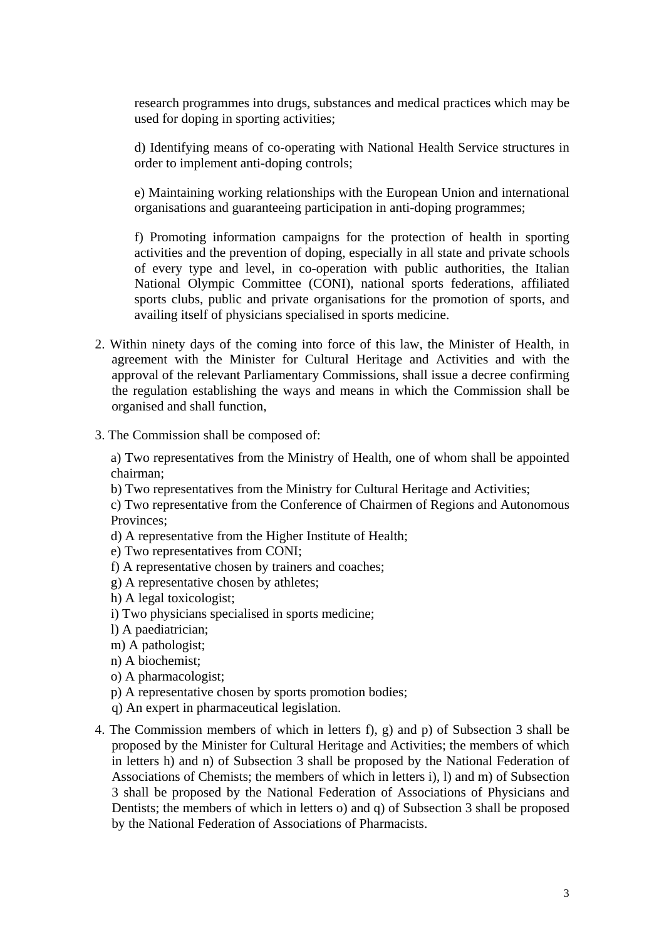research programmes into drugs, substances and medical practices which may be used for doping in sporting activities;

d) Identifying means of co-operating with National Health Service structures in order to implement anti-doping controls;

e) Maintaining working relationships with the European Union and international organisations and guaranteeing participation in anti-doping programmes;

f) Promoting information campaigns for the protection of health in sporting activities and the prevention of doping, especially in all state and private schools of every type and level, in co-operation with public authorities, the Italian National Olympic Committee (CONI), national sports federations, affiliated sports clubs, public and private organisations for the promotion of sports, and availing itself of physicians specialised in sports medicine.

- 2. Within ninety days of the coming into force of this law, the Minister of Health, in agreement with the Minister for Cultural Heritage and Activities and with the approval of the relevant Parliamentary Commissions, shall issue a decree confirming the regulation establishing the ways and means in which the Commission shall be organised and shall function,
- 3. The Commission shall be composed of:

a) Two representatives from the Ministry of Health, one of whom shall be appointed chairman;

b) Two representatives from the Ministry for Cultural Heritage and Activities;

c) Two representative from the Conference of Chairmen of Regions and Autonomous Provinces;

- d) A representative from the Higher Institute of Health;
- e) Two representatives from CONI;
- f) A representative chosen by trainers and coaches;
- g) A representative chosen by athletes;
- h) A legal toxicologist;
- i) Two physicians specialised in sports medicine;
- l) A paediatrician;
- m) A pathologist;
- n) A biochemist;
- o) A pharmacologist;
- p) A representative chosen by sports promotion bodies;
- q) An expert in pharmaceutical legislation.
- 4. The Commission members of which in letters f), g) and p) of Subsection 3 shall be proposed by the Minister for Cultural Heritage and Activities; the members of which in letters h) and n) of Subsection 3 shall be proposed by the National Federation of Associations of Chemists; the members of which in letters i), l) and m) of Subsection 3 shall be proposed by the National Federation of Associations of Physicians and Dentists; the members of which in letters o) and q) of Subsection 3 shall be proposed by the National Federation of Associations of Pharmacists.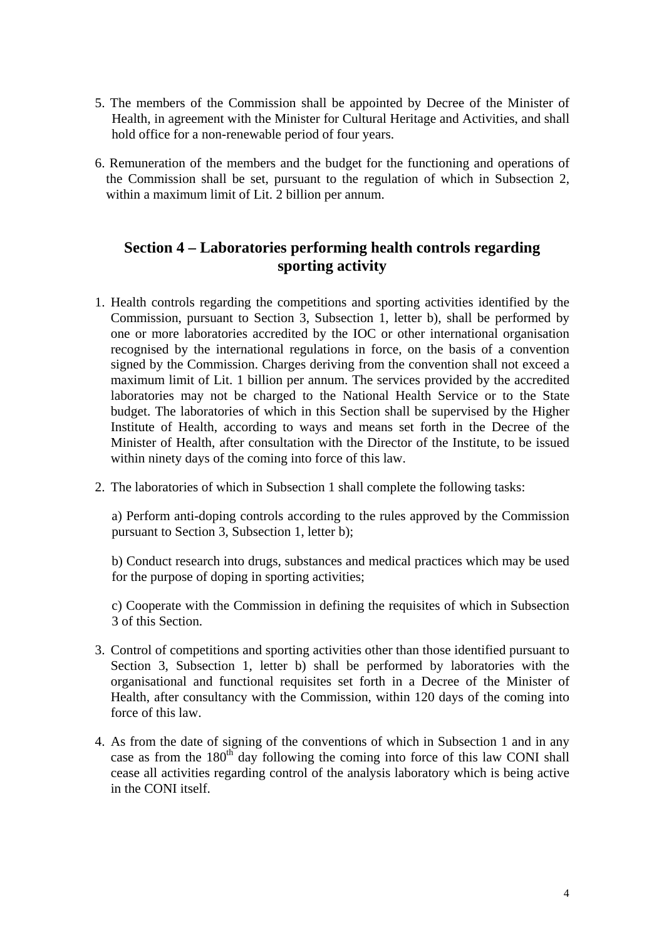- 5. The members of the Commission shall be appointed by Decree of the Minister of Health, in agreement with the Minister for Cultural Heritage and Activities, and shall hold office for a non-renewable period of four years.
- 6. Remuneration of the members and the budget for the functioning and operations of the Commission shall be set, pursuant to the regulation of which in Subsection 2, within a maximum limit of Lit. 2 billion per annum.

# **Section 4 – Laboratories performing health controls regarding sporting activity**

- 1. Health controls regarding the competitions and sporting activities identified by the Commission, pursuant to Section 3, Subsection 1, letter b), shall be performed by one or more laboratories accredited by the IOC or other international organisation recognised by the international regulations in force, on the basis of a convention signed by the Commission. Charges deriving from the convention shall not exceed a maximum limit of Lit. 1 billion per annum. The services provided by the accredited laboratories may not be charged to the National Health Service or to the State budget. The laboratories of which in this Section shall be supervised by the Higher Institute of Health, according to ways and means set forth in the Decree of the Minister of Health, after consultation with the Director of the Institute, to be issued within ninety days of the coming into force of this law.
- 2. The laboratories of which in Subsection 1 shall complete the following tasks:

a) Perform anti-doping controls according to the rules approved by the Commission pursuant to Section 3, Subsection 1, letter b);

b) Conduct research into drugs, substances and medical practices which may be used for the purpose of doping in sporting activities;

c) Cooperate with the Commission in defining the requisites of which in Subsection 3 of this Section.

- 3. Control of competitions and sporting activities other than those identified pursuant to Section 3, Subsection 1, letter b) shall be performed by laboratories with the organisational and functional requisites set forth in a Decree of the Minister of Health, after consultancy with the Commission, within 120 days of the coming into force of this law.
- 4. As from the date of signing of the conventions of which in Subsection 1 and in any case as from the  $180<sup>th</sup>$  day following the coming into force of this law CONI shall cease all activities regarding control of the analysis laboratory which is being active in the CONI itself.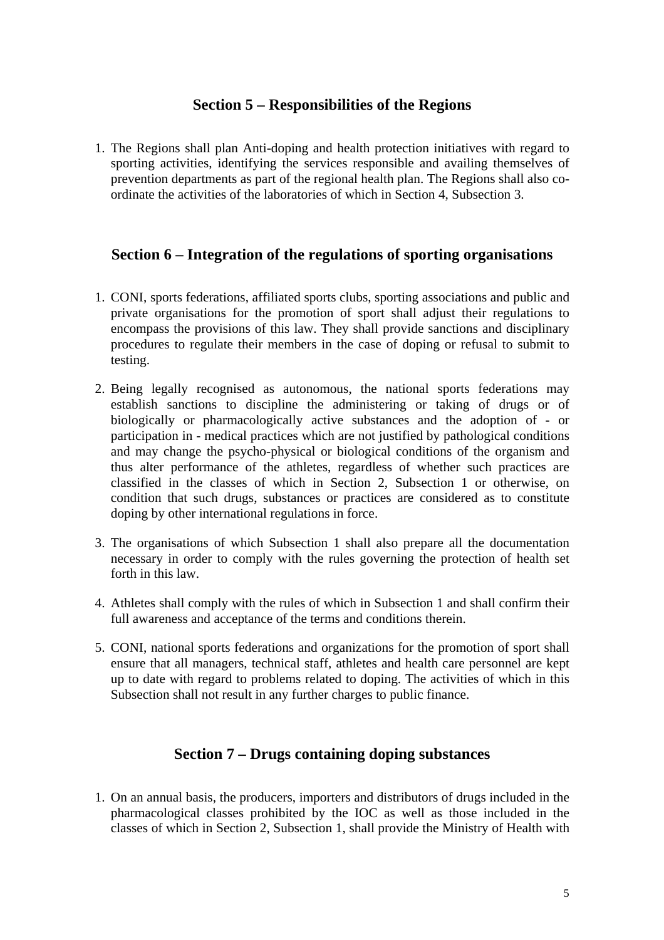#### **Section 5 – Responsibilities of the Regions**

1. The Regions shall plan Anti-doping and health protection initiatives with regard to sporting activities, identifying the services responsible and availing themselves of prevention departments as part of the regional health plan. The Regions shall also coordinate the activities of the laboratories of which in Section 4, Subsection 3.

## **Section 6 – Integration of the regulations of sporting organisations**

- 1. CONI, sports federations, affiliated sports clubs, sporting associations and public and private organisations for the promotion of sport shall adjust their regulations to encompass the provisions of this law. They shall provide sanctions and disciplinary procedures to regulate their members in the case of doping or refusal to submit to testing.
- 2. Being legally recognised as autonomous, the national sports federations may establish sanctions to discipline the administering or taking of drugs or of biologically or pharmacologically active substances and the adoption of - or participation in - medical practices which are not justified by pathological conditions and may change the psycho-physical or biological conditions of the organism and thus alter performance of the athletes, regardless of whether such practices are classified in the classes of which in Section 2, Subsection 1 or otherwise, on condition that such drugs, substances or practices are considered as to constitute doping by other international regulations in force.
- 3. The organisations of which Subsection 1 shall also prepare all the documentation necessary in order to comply with the rules governing the protection of health set forth in this law.
- 4. Athletes shall comply with the rules of which in Subsection 1 and shall confirm their full awareness and acceptance of the terms and conditions therein.
- 5. CONI, national sports federations and organizations for the promotion of sport shall ensure that all managers, technical staff, athletes and health care personnel are kept up to date with regard to problems related to doping. The activities of which in this Subsection shall not result in any further charges to public finance.

## **Section 7 – Drugs containing doping substances**

1. On an annual basis, the producers, importers and distributors of drugs included in the pharmacological classes prohibited by the IOC as well as those included in the classes of which in Section 2, Subsection 1, shall provide the Ministry of Health with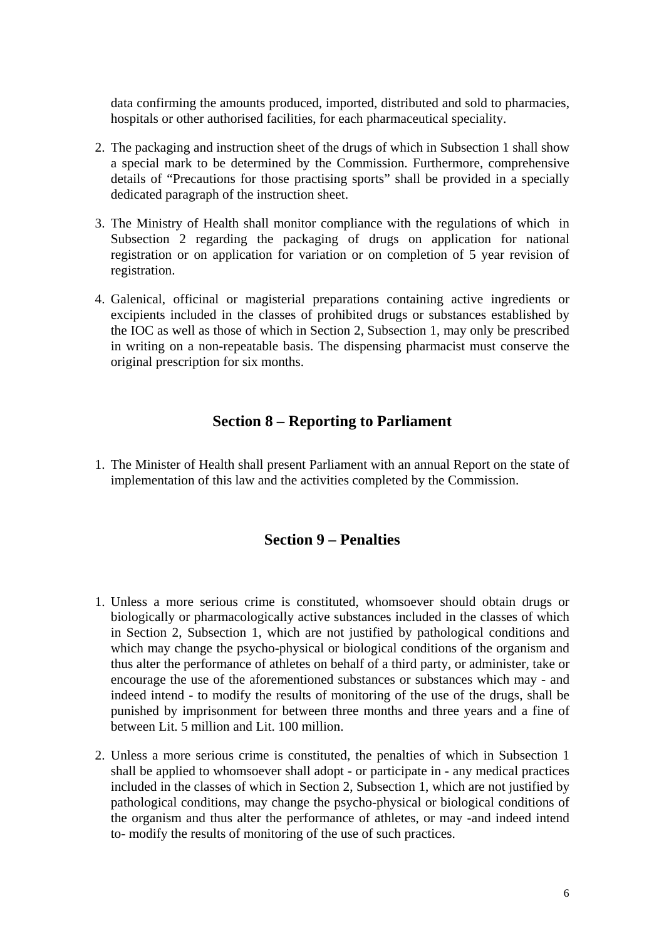data confirming the amounts produced, imported, distributed and sold to pharmacies, hospitals or other authorised facilities, for each pharmaceutical speciality.

- 2. The packaging and instruction sheet of the drugs of which in Subsection 1 shall show a special mark to be determined by the Commission. Furthermore, comprehensive details of "Precautions for those practising sports" shall be provided in a specially dedicated paragraph of the instruction sheet.
- 3. The Ministry of Health shall monitor compliance with the regulations of which in Subsection 2 regarding the packaging of drugs on application for national registration or on application for variation or on completion of 5 year revision of registration.
- 4. Galenical, officinal or magisterial preparations containing active ingredients or excipients included in the classes of prohibited drugs or substances established by the IOC as well as those of which in Section 2, Subsection 1, may only be prescribed in writing on a non-repeatable basis. The dispensing pharmacist must conserve the original prescription for six months.

#### **Section 8 – Reporting to Parliament**

1. The Minister of Health shall present Parliament with an annual Report on the state of implementation of this law and the activities completed by the Commission.

#### **Section 9 – Penalties**

- 1. Unless a more serious crime is constituted, whomsoever should obtain drugs or biologically or pharmacologically active substances included in the classes of which in Section 2, Subsection 1, which are not justified by pathological conditions and which may change the psycho-physical or biological conditions of the organism and thus alter the performance of athletes on behalf of a third party, or administer, take or encourage the use of the aforementioned substances or substances which may - and indeed intend - to modify the results of monitoring of the use of the drugs, shall be punished by imprisonment for between three months and three years and a fine of between Lit. 5 million and Lit. 100 million.
- 2. Unless a more serious crime is constituted, the penalties of which in Subsection 1 shall be applied to whomsoever shall adopt - or participate in - any medical practices included in the classes of which in Section 2, Subsection 1, which are not justified by pathological conditions, may change the psycho-physical or biological conditions of the organism and thus alter the performance of athletes, or may -and indeed intend to- modify the results of monitoring of the use of such practices.